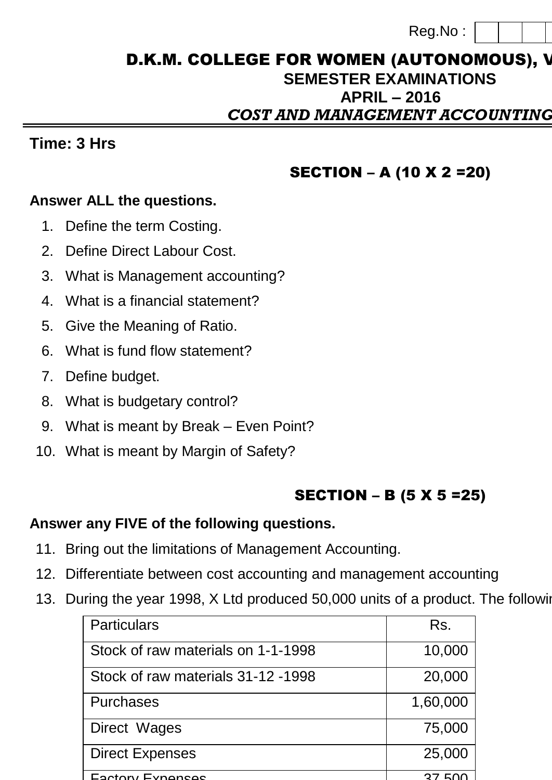| Reg.No: |  |  |  |  |
|---------|--|--|--|--|
|---------|--|--|--|--|

## D.K.M. COLLEGE FOR WOMEN (AUTONOMOUS), V **SEMESTER EXAMINATIONS APRIL – 2016 CBA4B** *COST AND MANAGEMENT ACCOUNTING*

### **Time: 3 Hrs**

#### SECTION – A (10 X 2 =20)

#### **Answer ALL the questions.**

- 1. Define the term Costing.
- 2. Define Direct Labour Cost.
- 3. What is Management accounting?
- 4. What is a financial statement?
- 5. Give the Meaning of Ratio.
- 6. What is fund flow statement?
- 7. Define budget.
- 8. What is budgetary control?
- 9. What is meant by Break Even Point?
- 10. What is meant by Margin of Safety?

# SECTION – B (5 X 5 =25)

#### **Answer any FIVE of the following questions.**

- 11. Bring out the limitations of Management Accounting.
- 12. Differentiate between cost accounting and management accounting
- 13. During the year 1998, X Ltd produced 50,000 units of a product. The following

| <b>Particulars</b>                 | Rs.            |
|------------------------------------|----------------|
| Stock of raw materials on 1-1-1998 | 10,000         |
| Stock of raw materials 31-12-1998  | 20,000         |
| <b>Purchases</b>                   | 1,60,000       |
| Direct Wages                       | 75,000         |
| <b>Direct Expenses</b>             | 25,000         |
| Footory Evnancac                   | F <sub>U</sub> |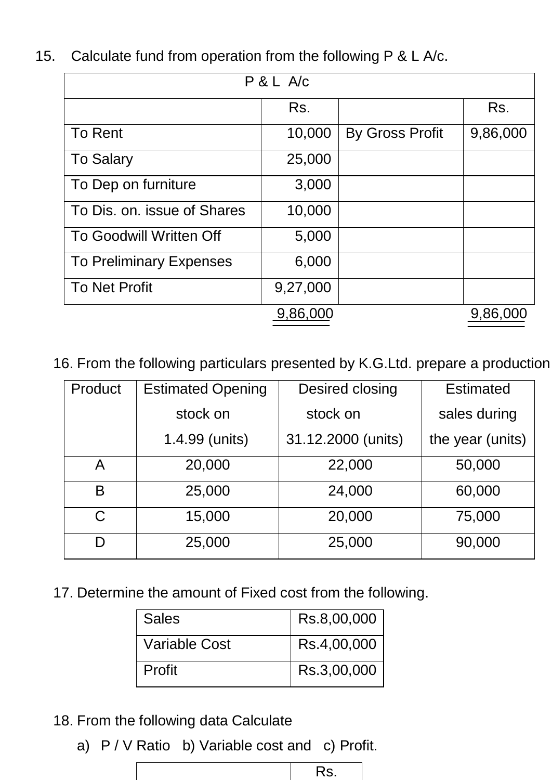| P & L A/c                      |          |                        |          |  |
|--------------------------------|----------|------------------------|----------|--|
|                                | Rs.      |                        | Rs.      |  |
| <b>To Rent</b>                 | 10,000   | <b>By Gross Profit</b> | 9,86,000 |  |
| <b>To Salary</b>               | 25,000   |                        |          |  |
| To Dep on furniture            | 3,000    |                        |          |  |
| To Dis. on. issue of Shares    | 10,000   |                        |          |  |
| <b>To Goodwill Written Off</b> | 5,000    |                        |          |  |
| <b>To Preliminary Expenses</b> | 6,000    |                        |          |  |
| <b>To Net Profit</b>           | 9,27,000 |                        |          |  |
|                                | 9,86,000 |                        | 9,86,000 |  |

15. Calculate fund from operation from the following P & L A/c.

16. From the following particulars presented by K.G.Ltd. prepare a production

| Product | <b>Estimated Opening</b> | Desired closing    | <b>Estimated</b> |
|---------|--------------------------|--------------------|------------------|
|         | stock on                 | stock on           | sales during     |
|         | 1.4.99 (units)           | 31.12.2000 (units) | the year (units) |
| A       | 20,000                   | 22,000             | 50,000           |
| B       | 25,000                   | 24,000             | 60,000           |
| C       | 15,000                   | 20,000             | 75,000           |
| D       | 25,000                   | 25,000             | 90,000           |

17. Determine the amount of Fixed cost from the following.

| <b>Sales</b>  | Rs.8,00,000 |
|---------------|-------------|
| Variable Cost | Rs.4,00,000 |
| Profit        | Rs.3,00,000 |

- 18. From the following data Calculate
	- a) P / V Ratio b) Variable cost and c) Profit.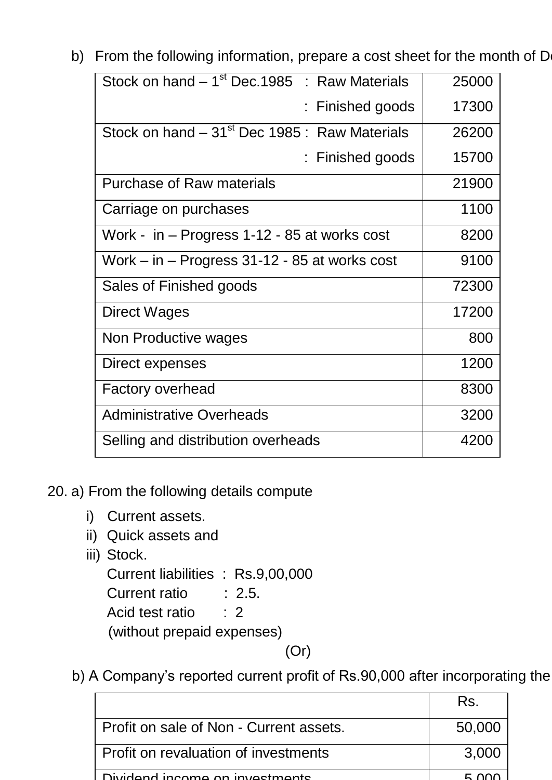b) From the following information, prepare a cost sheet for the month of D

| Stock on hand $-1st$ Dec. 1985 : Raw Materials            | 25000 |
|-----------------------------------------------------------|-------|
| Finished goods                                            | 17300 |
| Stock on hand – 31 <sup>st</sup> Dec 1985 : Raw Materials | 26200 |
| : Finished goods                                          | 15700 |
| <b>Purchase of Raw materials</b>                          | 21900 |
| Carriage on purchases                                     | 1100  |
| Work - in – Progress 1-12 - 85 at works cost              | 8200  |
| Work – in – Progress 31-12 - 85 at works cost             | 9100  |
| Sales of Finished goods                                   | 72300 |
| Direct Wages                                              | 17200 |
| Non Productive wages                                      | 800   |
| Direct expenses                                           | 1200  |
| <b>Factory overhead</b>                                   | 8300  |
| <b>Administrative Overheads</b>                           | 3200  |
| Selling and distribution overheads                        | 4200  |

20. a) From the following details compute

- i) Current assets.
- ii) Quick assets and
- iii) Stock.

Current liabilities : Rs.9,00,000 Current ratio : 2.5. Acid test ratio : 2 (without prepaid expenses)

(Or)

b) A Company's reported current profit of Rs.90,000 after incorporating the

|                                         | Rs.    |
|-----------------------------------------|--------|
| Profit on sale of Non - Current assets. | 50,000 |
| Profit on revaluation of investments    | 3,000  |
| Dividend income on investments          |        |